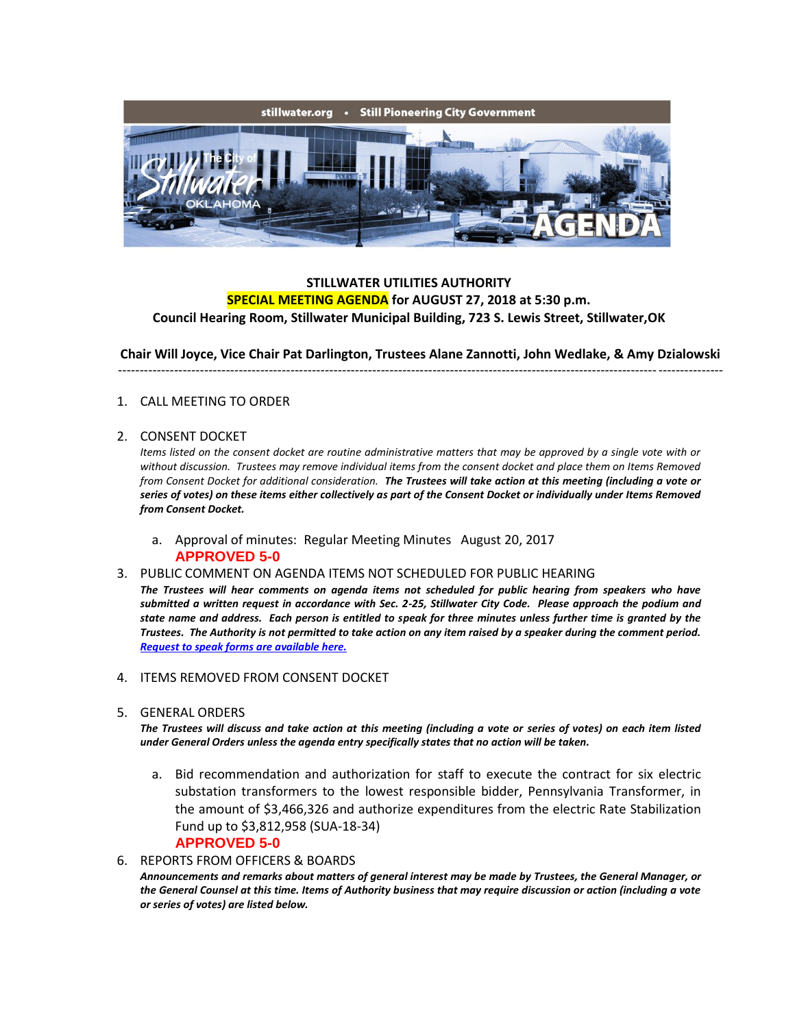

## **STILLWATER UTILITIES AUTHORITY SPECIAL MEETING AGENDA for AUGUST 27, 2018 at 5:30 p.m. Council Hearing Room, Stillwater Municipal Building, 723 S. Lewis Street, Stillwater,OK**

**Chair Will Joyce, Vice Chair Pat Darlington, Trustees Alane Zannotti, John Wedlake, & Amy Dzialowski** --------------------------------------------------------------------------------------------------------------------------------------------

# 1. CALL MEETING TO ORDER

### 2. CONSENT DOCKET

*Items listed on the consent docket are routine administrative matters that may be approved by a single vote with or without discussion. Trustees may remove individual items from the consent docket and place them on Items Removed from Consent Docket for additional consideration. The Trustees will take action at this meeting (including a vote or series of votes) on these items either collectively as part of the Consent Docket or individually under Items Removed from Consent Docket.*

a. Approval of minutes: Regular Meeting Minutes August 20, 2017 **APPROVED 5-0**

#### 3. PUBLIC COMMENT ON AGENDA ITEMS NOT SCHEDULED FOR PUBLIC HEARING

*The Trustees will hear comments on agenda items not scheduled for public hearing from speakers who have submitted a written request in accordance with Sec. 2-25, Stillwater City Code. Please approach the podium and state name and address. Each person is entitled to speak for three minutes unless further time is granted by the Trustees. The Authority is not permitted to take action on any item raised by a speaker during the comment period. [Request to speak forms are available here.](http://stillwater.org/document/request_to_speak_at_city_council.php)*

- 4. ITEMS REMOVED FROM CONSENT DOCKET
- 5. GENERAL ORDERS

*The Trustees will discuss and take action at this meeting (including a vote or series of votes) on each item listed under General Orders unless the agenda entry specifically states that no action will be taken.*

- a. Bid recommendation and authorization for staff to execute the contract for six electric substation transformers to the lowest responsible bidder, Pennsylvania Transformer, in the amount of \$3,466,326 and authorize expenditures from the electric Rate Stabilization Fund up to \$3,812,958 (SUA-18-34) **APPROVED 5-0**
- 6. REPORTS FROM OFFICERS & BOARDS

*Announcements and remarks about matters of general interest may be made by Trustees, the General Manager, or the General Counsel at this time. Items of Authority business that may require discussion or action (including a vote or series of votes) are listed below.*